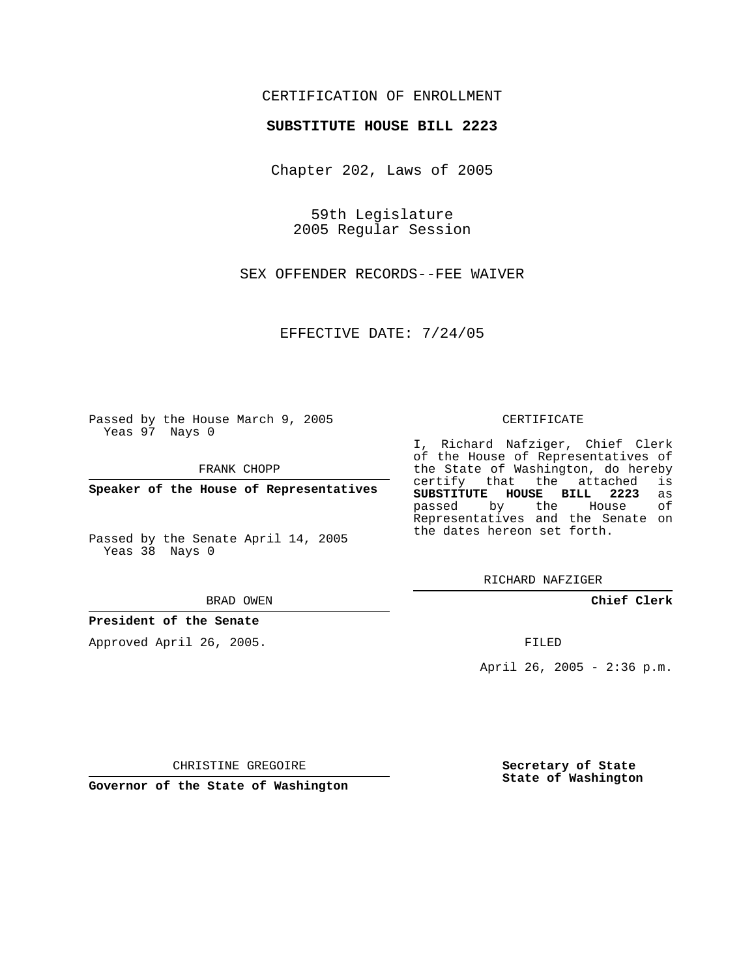# CERTIFICATION OF ENROLLMENT

### **SUBSTITUTE HOUSE BILL 2223**

Chapter 202, Laws of 2005

59th Legislature 2005 Regular Session

SEX OFFENDER RECORDS--FEE WAIVER

EFFECTIVE DATE: 7/24/05

Passed by the House March 9, 2005 Yeas 97 Nays 0

FRANK CHOPP

**Speaker of the House of Representatives**

Passed by the Senate April 14, 2005 Yeas 38 Nays 0

#### BRAD OWEN

### **President of the Senate**

Approved April 26, 2005.

#### CERTIFICATE

I, Richard Nafziger, Chief Clerk of the House of Representatives of the State of Washington, do hereby<br>certify that the attached is certify that the attached **SUBSTITUTE HOUSE BILL 2223** as passed by the Representatives and the Senate on the dates hereon set forth.

RICHARD NAFZIGER

**Chief Clerk**

FILED

April 26, 2005 - 2:36 p.m.

CHRISTINE GREGOIRE

**Governor of the State of Washington**

**Secretary of State State of Washington**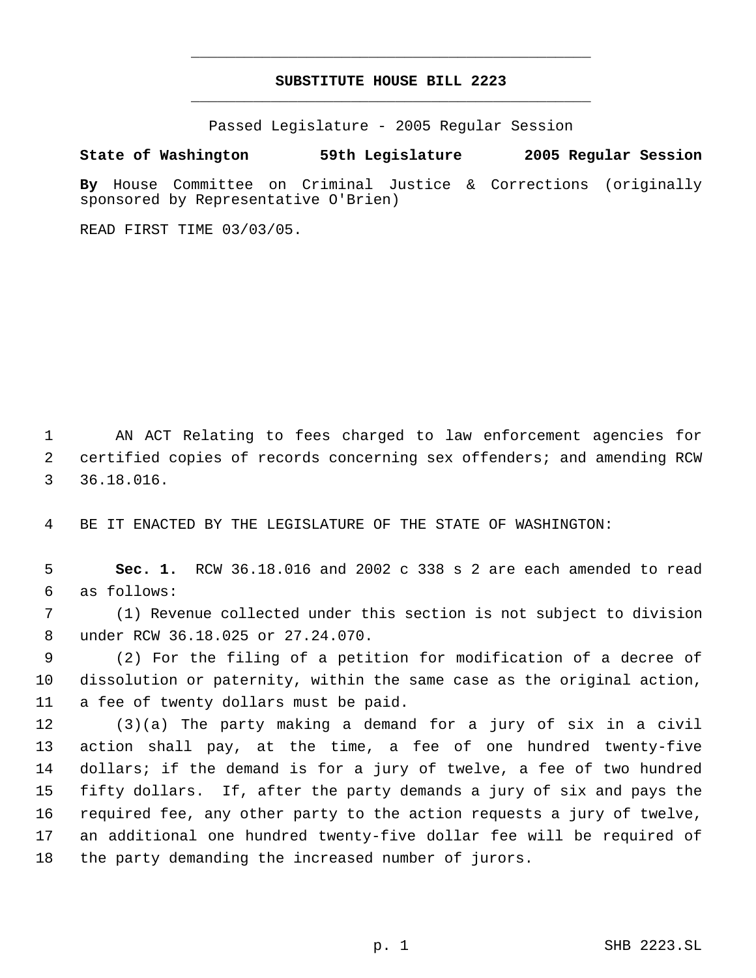# **SUBSTITUTE HOUSE BILL 2223** \_\_\_\_\_\_\_\_\_\_\_\_\_\_\_\_\_\_\_\_\_\_\_\_\_\_\_\_\_\_\_\_\_\_\_\_\_\_\_\_\_\_\_\_\_

\_\_\_\_\_\_\_\_\_\_\_\_\_\_\_\_\_\_\_\_\_\_\_\_\_\_\_\_\_\_\_\_\_\_\_\_\_\_\_\_\_\_\_\_\_

Passed Legislature - 2005 Regular Session

## **State of Washington 59th Legislature 2005 Regular Session**

**By** House Committee on Criminal Justice & Corrections (originally sponsored by Representative O'Brien)

READ FIRST TIME 03/03/05.

 AN ACT Relating to fees charged to law enforcement agencies for certified copies of records concerning sex offenders; and amending RCW 36.18.016.

BE IT ENACTED BY THE LEGISLATURE OF THE STATE OF WASHINGTON:

 **Sec. 1.** RCW 36.18.016 and 2002 c 338 s 2 are each amended to read as follows:

 (1) Revenue collected under this section is not subject to division under RCW 36.18.025 or 27.24.070.

 (2) For the filing of a petition for modification of a decree of dissolution or paternity, within the same case as the original action, a fee of twenty dollars must be paid.

 (3)(a) The party making a demand for a jury of six in a civil action shall pay, at the time, a fee of one hundred twenty-five dollars; if the demand is for a jury of twelve, a fee of two hundred fifty dollars. If, after the party demands a jury of six and pays the required fee, any other party to the action requests a jury of twelve, an additional one hundred twenty-five dollar fee will be required of the party demanding the increased number of jurors.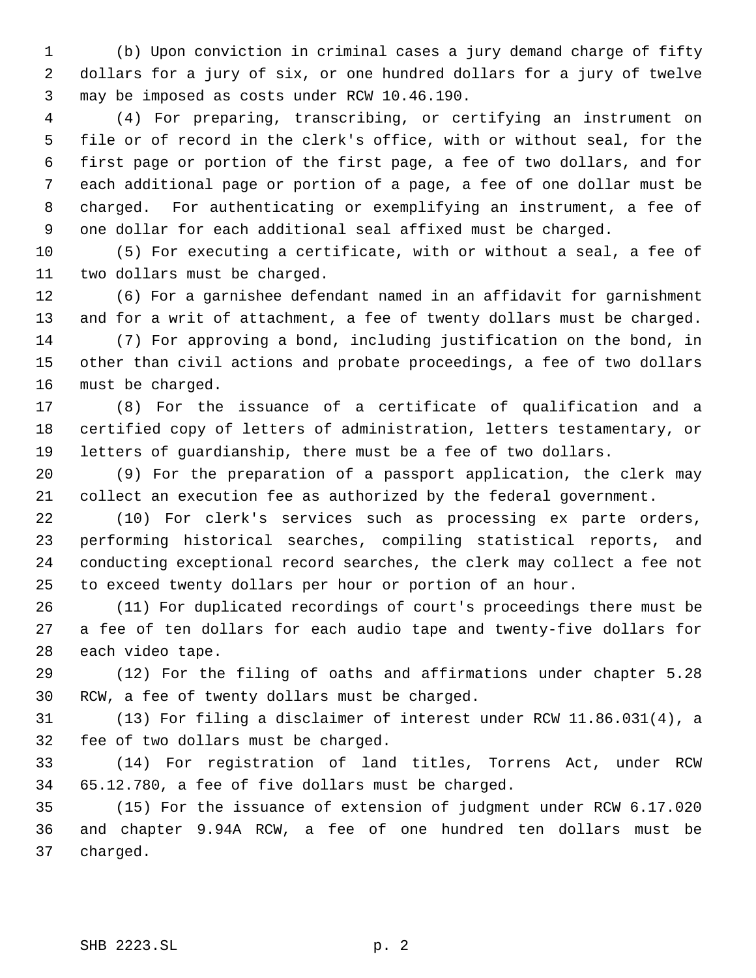(b) Upon conviction in criminal cases a jury demand charge of fifty dollars for a jury of six, or one hundred dollars for a jury of twelve may be imposed as costs under RCW 10.46.190.

 (4) For preparing, transcribing, or certifying an instrument on file or of record in the clerk's office, with or without seal, for the first page or portion of the first page, a fee of two dollars, and for each additional page or portion of a page, a fee of one dollar must be charged. For authenticating or exemplifying an instrument, a fee of one dollar for each additional seal affixed must be charged.

 (5) For executing a certificate, with or without a seal, a fee of two dollars must be charged.

 (6) For a garnishee defendant named in an affidavit for garnishment and for a writ of attachment, a fee of twenty dollars must be charged.

 (7) For approving a bond, including justification on the bond, in other than civil actions and probate proceedings, a fee of two dollars must be charged.

 (8) For the issuance of a certificate of qualification and a certified copy of letters of administration, letters testamentary, or letters of guardianship, there must be a fee of two dollars.

 (9) For the preparation of a passport application, the clerk may collect an execution fee as authorized by the federal government.

 (10) For clerk's services such as processing ex parte orders, performing historical searches, compiling statistical reports, and conducting exceptional record searches, the clerk may collect a fee not to exceed twenty dollars per hour or portion of an hour.

 (11) For duplicated recordings of court's proceedings there must be a fee of ten dollars for each audio tape and twenty-five dollars for each video tape.

 (12) For the filing of oaths and affirmations under chapter 5.28 RCW, a fee of twenty dollars must be charged.

 (13) For filing a disclaimer of interest under RCW 11.86.031(4), a fee of two dollars must be charged.

 (14) For registration of land titles, Torrens Act, under RCW 65.12.780, a fee of five dollars must be charged.

 (15) For the issuance of extension of judgment under RCW 6.17.020 and chapter 9.94A RCW, a fee of one hundred ten dollars must be charged.